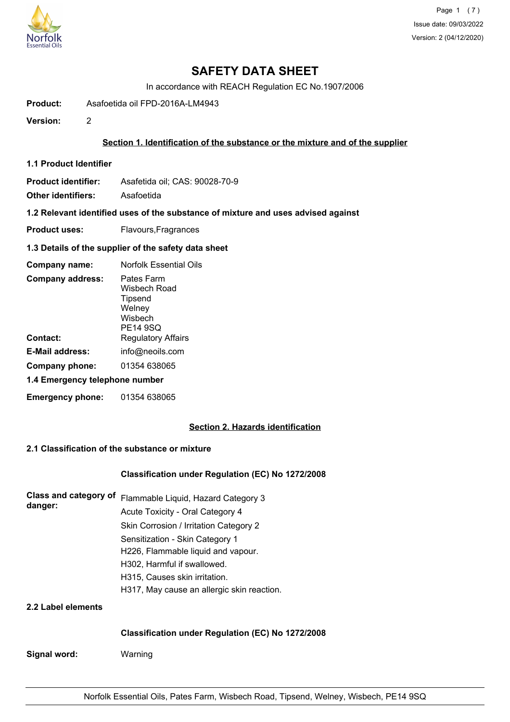

Page 1 (7) Issue date: 09/03/2022 Version: 2 (04/12/2020)

## **SAFETY DATA SHEET**

In accordance with REACH Regulation EC No.1907/2006

**Product:** Asafoetida oil FPD-2016A-LM4943

**Version:** 2

### **Section 1. Identification of the substance or the mixture and of the supplier**

**1.1 Product Identifier**

**Product identifier:** Asafetida oil; CAS: 90028-70-9

**Other identifiers:** Asafoetida

**1.2 Relevant identified uses of the substance of mixture and uses advised against**

**Product uses:** Flavours, Fragrances

**1.3 Details of the supplier of the safety data sheet**

| Company name:                  | <b>Norfolk Essential Oils</b>                                                 |
|--------------------------------|-------------------------------------------------------------------------------|
| <b>Company address:</b>        | Pates Farm<br>Wisbech Road<br><b>Tipsend</b><br>Welney<br>Wisbech<br>PE14 9SQ |
| Contact:                       | <b>Regulatory Affairs</b>                                                     |
| E-Mail address:                | info@neoils.com                                                               |
| Company phone:                 | 01354 638065                                                                  |
| 1.4 Emergency telephone number |                                                                               |
| <b>Emergency phone:</b>        | 01354 638065                                                                  |

## **Section 2. Hazards identification**

## **2.1 Classification of the substance or mixture**

#### **Classification under Regulation (EC) No 1272/2008**

| Class and category of<br>danger: | Flammable Liquid, Hazard Category 3<br>Acute Toxicity - Oral Category 4 |
|----------------------------------|-------------------------------------------------------------------------|
|                                  | Skin Corrosion / Irritation Category 2                                  |
|                                  | Sensitization - Skin Category 1                                         |
|                                  | H226, Flammable liquid and vapour.                                      |
|                                  | H302, Harmful if swallowed.                                             |
|                                  | H315, Causes skin irritation.                                           |
|                                  | H317, May cause an allergic skin reaction.                              |
| 2.2 Label elements               |                                                                         |

#### **Classification under Regulation (EC) No 1272/2008**

**Signal word:** Warning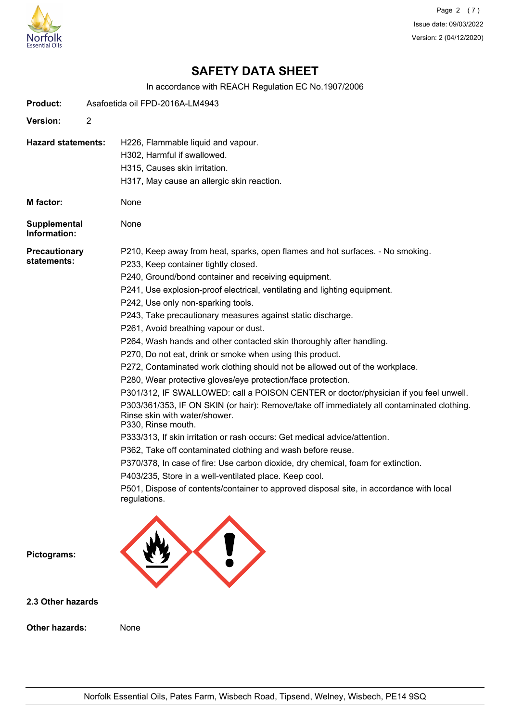

Page 2 (7) Issue date: 09/03/2022 Version: 2 (04/12/2020)

# **SAFETY DATA SHEET**

In accordance with REACH Regulation EC No.1907/2006

| <b>Product:</b>                     | Asafoetida oil FPD-2016A-LM4943 |                                                                                                                                                                                                                                                                                                                                                                                                                                                                                                                                                                                                                                                                                                                                                                                                                                                                                                                                                                                                                                                                                                                                                                                                                                                                                                                                                    |  |
|-------------------------------------|---------------------------------|----------------------------------------------------------------------------------------------------------------------------------------------------------------------------------------------------------------------------------------------------------------------------------------------------------------------------------------------------------------------------------------------------------------------------------------------------------------------------------------------------------------------------------------------------------------------------------------------------------------------------------------------------------------------------------------------------------------------------------------------------------------------------------------------------------------------------------------------------------------------------------------------------------------------------------------------------------------------------------------------------------------------------------------------------------------------------------------------------------------------------------------------------------------------------------------------------------------------------------------------------------------------------------------------------------------------------------------------------|--|
| <b>Version:</b>                     | $\overline{2}$                  |                                                                                                                                                                                                                                                                                                                                                                                                                                                                                                                                                                                                                                                                                                                                                                                                                                                                                                                                                                                                                                                                                                                                                                                                                                                                                                                                                    |  |
| <b>Hazard statements:</b>           |                                 | H226, Flammable liquid and vapour.<br>H302, Harmful if swallowed.<br>H315, Causes skin irritation.<br>H317, May cause an allergic skin reaction.                                                                                                                                                                                                                                                                                                                                                                                                                                                                                                                                                                                                                                                                                                                                                                                                                                                                                                                                                                                                                                                                                                                                                                                                   |  |
| <b>M</b> factor:                    |                                 | None                                                                                                                                                                                                                                                                                                                                                                                                                                                                                                                                                                                                                                                                                                                                                                                                                                                                                                                                                                                                                                                                                                                                                                                                                                                                                                                                               |  |
| Supplemental<br>Information:        |                                 | None                                                                                                                                                                                                                                                                                                                                                                                                                                                                                                                                                                                                                                                                                                                                                                                                                                                                                                                                                                                                                                                                                                                                                                                                                                                                                                                                               |  |
| <b>Precautionary</b><br>statements: |                                 | P210, Keep away from heat, sparks, open flames and hot surfaces. - No smoking.<br>P233, Keep container tightly closed.<br>P240, Ground/bond container and receiving equipment.<br>P241, Use explosion-proof electrical, ventilating and lighting equipment.<br>P242, Use only non-sparking tools.<br>P243, Take precautionary measures against static discharge.<br>P261, Avoid breathing vapour or dust.<br>P264, Wash hands and other contacted skin thoroughly after handling.<br>P270, Do not eat, drink or smoke when using this product.<br>P272, Contaminated work clothing should not be allowed out of the workplace.<br>P280, Wear protective gloves/eye protection/face protection.<br>P301/312, IF SWALLOWED: call a POISON CENTER or doctor/physician if you feel unwell.<br>P303/361/353, IF ON SKIN (or hair): Remove/take off immediately all contaminated clothing.<br>Rinse skin with water/shower.<br>P330, Rinse mouth.<br>P333/313, If skin irritation or rash occurs: Get medical advice/attention.<br>P362, Take off contaminated clothing and wash before reuse.<br>P370/378, In case of fire: Use carbon dioxide, dry chemical, foam for extinction.<br>P403/235, Store in a well-ventilated place. Keep cool.<br>P501, Dispose of contents/container to approved disposal site, in accordance with local<br>regulations. |  |
| Pictograms:                         |                                 |                                                                                                                                                                                                                                                                                                                                                                                                                                                                                                                                                                                                                                                                                                                                                                                                                                                                                                                                                                                                                                                                                                                                                                                                                                                                                                                                                    |  |
| 2.3 Other hazards                   |                                 |                                                                                                                                                                                                                                                                                                                                                                                                                                                                                                                                                                                                                                                                                                                                                                                                                                                                                                                                                                                                                                                                                                                                                                                                                                                                                                                                                    |  |
| <b>Other hazards:</b>               |                                 | None                                                                                                                                                                                                                                                                                                                                                                                                                                                                                                                                                                                                                                                                                                                                                                                                                                                                                                                                                                                                                                                                                                                                                                                                                                                                                                                                               |  |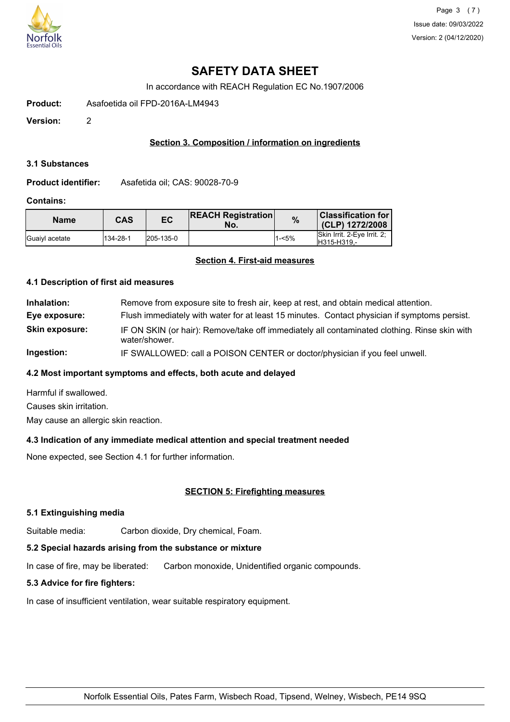

# **SAFETY DATA SHEET**

In accordance with REACH Regulation EC No.1907/2006

**Product:** Asafoetida oil FPD-2016A-LM4943

**Version:** 2

## **Section 3. Composition / information on ingredients**

#### **3.1 Substances**

**Product identifier:** Asafetida oil; CAS: 90028-70-9

#### **Contains:**

| <b>Name</b>            | CAS      | EC        | <b>REACH Registration</b><br>No. | $\%$     | Classification for  <br>(CLP) 1272/2008    |
|------------------------|----------|-----------|----------------------------------|----------|--------------------------------------------|
| <b>IGuaivi</b> acetate | 134-28-1 | 205-135-0 |                                  | $1 - 5%$ | Skin Irrit. 2-Eye Irrit. 2;<br>H315-H319 - |

## **Section 4. First-aid measures**

#### **4.1 Description of first aid measures**

**Inhalation:** Remove from exposure site to fresh air, keep at rest, and obtain medical attention. **Eye exposure:** Flush immediately with water for at least 15 minutes. Contact physician if symptoms persist. **Skin exposure:** IF ON SKIN (or hair): Remove/take off immediately all contaminated clothing. Rinse skin with water/shower. **Ingestion:** IF SWALLOWED: call a POISON CENTER or doctor/physician if you feel unwell.

## **4.2 Most important symptoms and effects, both acute and delayed**

Harmful if swallowed. Causes skin irritation. May cause an allergic skin reaction.

## **4.3 Indication of any immediate medical attention and special treatment needed**

None expected, see Section 4.1 for further information.

## **SECTION 5: Firefighting measures**

#### **5.1 Extinguishing media**

Suitable media: Carbon dioxide, Dry chemical, Foam.

## **5.2 Special hazards arising from the substance or mixture**

In case of fire, may be liberated: Carbon monoxide, Unidentified organic compounds.

## **5.3 Advice for fire fighters:**

In case of insufficient ventilation, wear suitable respiratory equipment.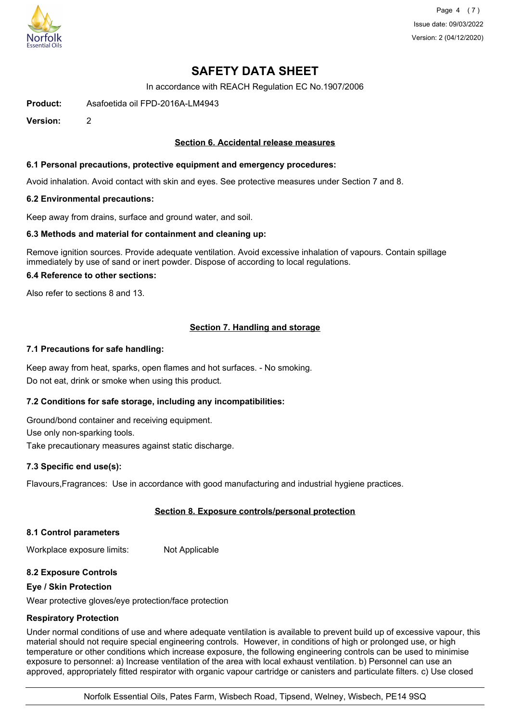

Page 4 (7) Issue date: 09/03/2022 Version: 2 (04/12/2020)

# **SAFETY DATA SHEET**

In accordance with REACH Regulation EC No.1907/2006

**Product:** Asafoetida oil FPD-2016A-LM4943

**Version:** 2

#### **Section 6. Accidental release measures**

#### **6.1 Personal precautions, protective equipment and emergency procedures:**

Avoid inhalation. Avoid contact with skin and eyes. See protective measures under Section 7 and 8.

#### **6.2 Environmental precautions:**

Keep away from drains, surface and ground water, and soil.

#### **6.3 Methods and material for containment and cleaning up:**

Remove ignition sources. Provide adequate ventilation. Avoid excessive inhalation of vapours. Contain spillage immediately by use of sand or inert powder. Dispose of according to local regulations.

#### **6.4 Reference to other sections:**

Also refer to sections 8 and 13.

## **Section 7. Handling and storage**

#### **7.1 Precautions for safe handling:**

Keep away from heat, sparks, open flames and hot surfaces. - No smoking. Do not eat, drink or smoke when using this product.

## **7.2 Conditions for safe storage, including any incompatibilities:**

Ground/bond container and receiving equipment. Use only non-sparking tools. Take precautionary measures against static discharge.

## **7.3 Specific end use(s):**

Flavours,Fragrances: Use in accordance with good manufacturing and industrial hygiene practices.

## **Section 8. Exposure controls/personal protection**

#### **8.1 Control parameters**

Workplace exposure limits: Not Applicable

#### **8.2 Exposure Controls**

#### **Eye / Skin Protection**

Wear protective gloves/eye protection/face protection

## **Respiratory Protection**

Under normal conditions of use and where adequate ventilation is available to prevent build up of excessive vapour, this material should not require special engineering controls. However, in conditions of high or prolonged use, or high temperature or other conditions which increase exposure, the following engineering controls can be used to minimise exposure to personnel: a) Increase ventilation of the area with local exhaust ventilation. b) Personnel can use an approved, appropriately fitted respirator with organic vapour cartridge or canisters and particulate filters. c) Use closed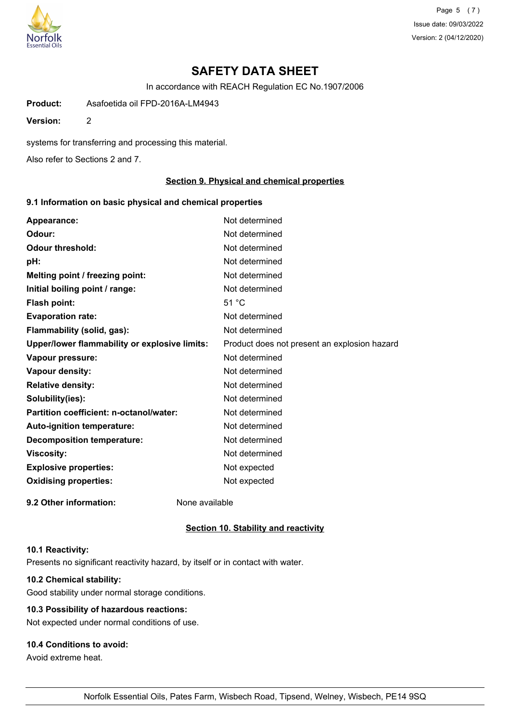

Page 5 (7) Issue date: 09/03/2022 Version: 2 (04/12/2020)

# **SAFETY DATA SHEET**

In accordance with REACH Regulation EC No.1907/2006

**Product:** Asafoetida oil FPD-2016A-LM4943

**Version:** 2

systems for transferring and processing this material.

Also refer to Sections 2 and 7.

#### **Section 9. Physical and chemical properties**

### **9.1 Information on basic physical and chemical properties**

| Appearance:                                   | Not determined                               |
|-----------------------------------------------|----------------------------------------------|
| Odour:                                        | Not determined                               |
| <b>Odour threshold:</b>                       | Not determined                               |
| pH:                                           | Not determined                               |
| Melting point / freezing point:               | Not determined                               |
| Initial boiling point / range:                | Not determined                               |
| Flash point:                                  | 51 °C                                        |
| <b>Evaporation rate:</b>                      | Not determined                               |
| Flammability (solid, gas):                    | Not determined                               |
| Upper/lower flammability or explosive limits: | Product does not present an explosion hazard |
| Vapour pressure:                              | Not determined                               |
| Vapour density:                               | Not determined                               |
| <b>Relative density:</b>                      | Not determined                               |
| Solubility(ies):                              | Not determined                               |
| Partition coefficient: n-octanol/water:       | Not determined                               |
| Auto-ignition temperature:                    | Not determined                               |
| <b>Decomposition temperature:</b>             | Not determined                               |
| <b>Viscosity:</b>                             | Not determined                               |
| <b>Explosive properties:</b>                  | Not expected                                 |
| <b>Oxidising properties:</b>                  | Not expected                                 |
| 9.2 Other information:                        | None available                               |

#### **Section 10. Stability and reactivity**

#### **10.1 Reactivity:**

Presents no significant reactivity hazard, by itself or in contact with water.

### **10.2 Chemical stability:**

Good stability under normal storage conditions.

#### **10.3 Possibility of hazardous reactions:**

Not expected under normal conditions of use.

#### **10.4 Conditions to avoid:**

Avoid extreme heat.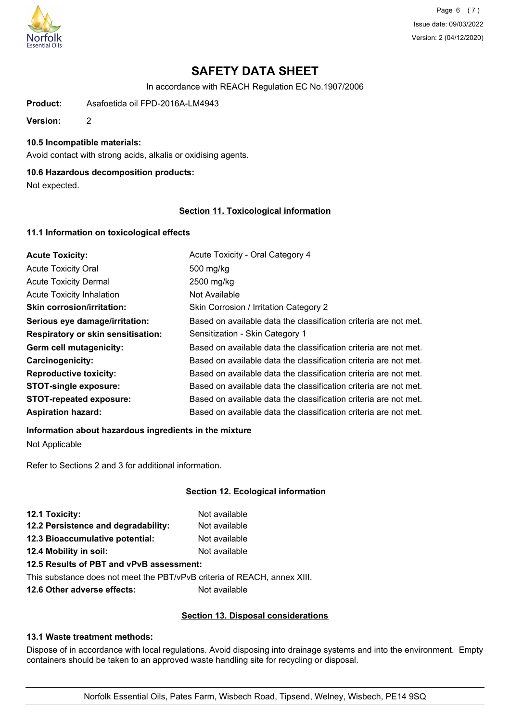

Page 6 (7) Issue date: 09/03/2022 Version: 2 (04/12/2020)

# **SAFETY DATA SHEET**

In accordance with REACH Regulation EC No.1907/2006

**Product:** Asafoetida oil FPD-2016A-LM4943

**Version:** 2

### **10.5 Incompatible materials:**

Avoid contact with strong acids, alkalis or oxidising agents.

#### **10.6 Hazardous decomposition products:**

Not expected.

### **Section 11. Toxicological information**

## **11.1 Information on toxicological effects**

| <b>Acute Toxicity:</b>             | Acute Toxicity - Oral Category 4                                 |
|------------------------------------|------------------------------------------------------------------|
| <b>Acute Toxicity Oral</b>         | 500 mg/kg                                                        |
| <b>Acute Toxicity Dermal</b>       | 2500 mg/kg                                                       |
| <b>Acute Toxicity Inhalation</b>   | Not Available                                                    |
| <b>Skin corrosion/irritation:</b>  | Skin Corrosion / Irritation Category 2                           |
| Serious eye damage/irritation:     | Based on available data the classification criteria are not met. |
| Respiratory or skin sensitisation: | Sensitization - Skin Category 1                                  |
| Germ cell mutagenicity:            | Based on available data the classification criteria are not met. |
| <b>Carcinogenicity:</b>            | Based on available data the classification criteria are not met. |
| <b>Reproductive toxicity:</b>      | Based on available data the classification criteria are not met. |
| <b>STOT-single exposure:</b>       | Based on available data the classification criteria are not met. |
| <b>STOT-repeated exposure:</b>     | Based on available data the classification criteria are not met. |
| <b>Aspiration hazard:</b>          | Based on available data the classification criteria are not met. |

#### **Information about hazardous ingredients in the mixture**

Not Applicable

Refer to Sections 2 and 3 for additional information.

## **Section 12. Ecological information**

| 12.1 Toxicity:                           | Not available |
|------------------------------------------|---------------|
| 12.2 Persistence and degradability:      | Not available |
| 12.3 Bioaccumulative potential:          | Not available |
| 12.4 Mobility in soil:                   | Not available |
| 12.5 Results of PBT and vPvB assessment: |               |

This substance does not meet the PBT/vPvB criteria of REACH, annex XIII.

**12.6 Other adverse effects:** Not available

## **Section 13. Disposal considerations**

#### **13.1 Waste treatment methods:**

Dispose of in accordance with local regulations. Avoid disposing into drainage systems and into the environment. Empty containers should be taken to an approved waste handling site for recycling or disposal.